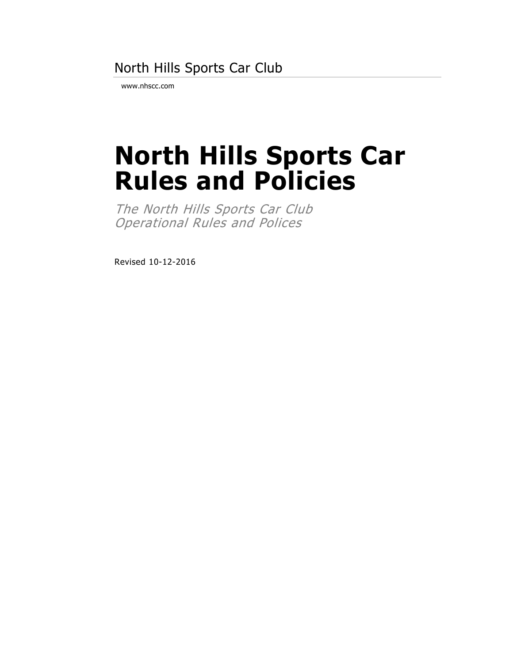## North Hills Sports Car Club

www.nhscc.com

# **North Hills Sports Car Rules and Policies**

The North Hills Sports Car Club Operational Rules and Polices

Revised 10-12-2016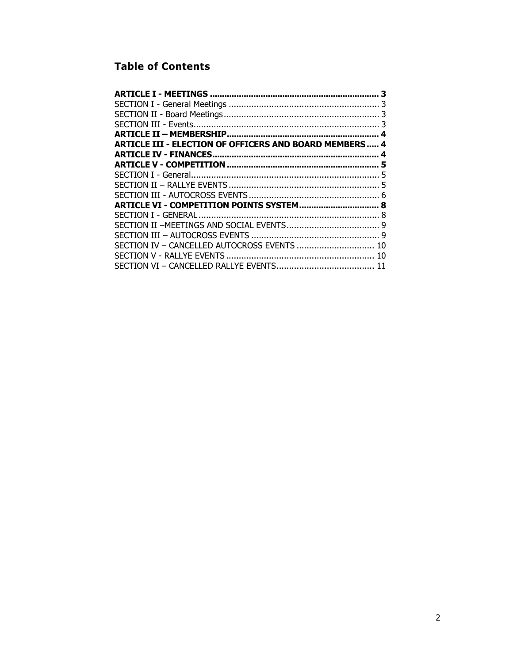## **Table of Contents**

|                                                               | 3 |
|---------------------------------------------------------------|---|
|                                                               |   |
|                                                               |   |
|                                                               |   |
|                                                               |   |
| <b>ARTICLE III - ELECTION OF OFFICERS AND BOARD MEMBERS 4</b> |   |
| <b>ARTICLE IV - FINANCES</b>                                  |   |
|                                                               |   |
|                                                               |   |
|                                                               |   |
|                                                               |   |
| ARTICLE VI - COMPETITION POINTS SYSTEM 8                      |   |
|                                                               |   |
|                                                               |   |
|                                                               |   |
| SECTION IV - CANCELLED AUTOCROSS EVENTS  10                   |   |
|                                                               |   |
|                                                               |   |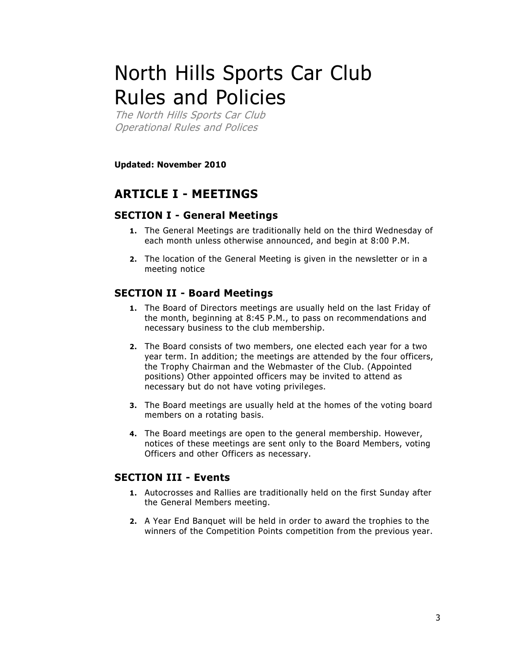## North Hills Sports Car Club Rules and Policies

The North Hills Sports Car Club Operational Rules and Polices

**Updated: November 2010**

## <span id="page-2-0"></span>**ARTICLE I - MEETINGS**

#### <span id="page-2-1"></span>**SECTION I - General Meetings**

- **1.** The General Meetings are traditionally held on the third Wednesday of each month unless otherwise announced, and begin at 8:00 P.M.
- **2.** The location of the General Meeting is given in the newsletter or in a meeting notice

#### <span id="page-2-2"></span>**SECTION II - Board Meetings**

- **1.** The Board of Directors meetings are usually held on the last Friday of the month, beginning at 8:45 P.M., to pass on recommendations and necessary business to the club membership.
- **2.** The Board consists of two members, one elected each year for a two year term. In addition; the meetings are attended by the four officers, the Trophy Chairman and the Webmaster of the Club. (Appointed positions) Other appointed officers may be invited to attend as necessary but do not have voting privileges.
- **3.** The Board meetings are usually held at the homes of the voting board members on a rotating basis.
- **4.** The Board meetings are open to the general membership. However, notices of these meetings are sent only to the Board Members, voting Officers and other Officers as necessary.

#### <span id="page-2-3"></span>**SECTION III - Events**

- **1.** Autocrosses and Rallies are traditionally held on the first Sunday after the General Members meeting.
- **2.** A Year End Banquet will be held in order to award the trophies to the winners of the Competition Points competition from the previous year.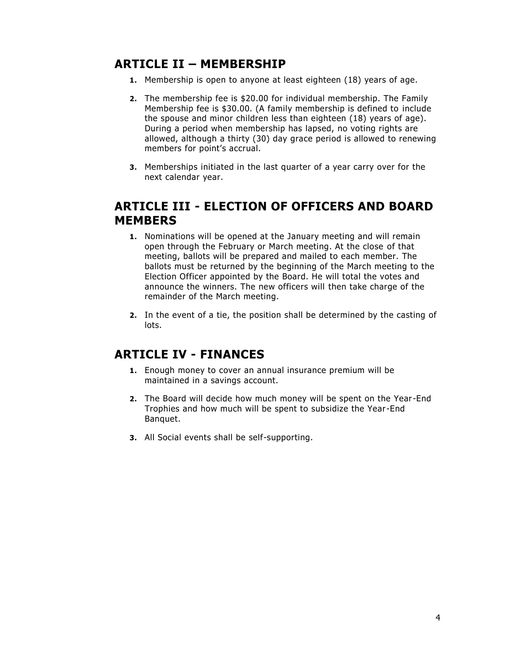## <span id="page-3-0"></span>**ARTICLE II – MEMBERSHIP**

- **1.** Membership is open to anyone at least eighteen (18) years of age.
- **2.** The membership fee is \$20.00 for individual membership. The Family Membership fee is \$30.00. (A family membership is defined to include the spouse and minor children less than eighteen (18) years of age). During a period when membership has lapsed, no voting rights are allowed, although a thirty (30) day grace period is allowed to renewing members for point's accrual.
- **3.** Memberships initiated in the last quarter of a year carry over for the next calendar year.

## <span id="page-3-1"></span>**ARTICLE III - ELECTION OF OFFICERS AND BOARD MEMBERS**

- **1.** Nominations will be opened at the January meeting and will remain open through the February or March meeting. At the close of that meeting, ballots will be prepared and mailed to each member. The ballots must be returned by the beginning of the March meeting to the Election Officer appointed by the Board. He will total the votes and announce the winners. The new officers will then take charge of the remainder of the March meeting.
- **2.** In the event of a tie, the position shall be determined by the casting of lots.

## <span id="page-3-2"></span>**ARTICLE IV - FINANCES**

- **1.** Enough money to cover an annual insurance premium will be maintained in a savings account.
- **2.** The Board will decide how much money will be spent on the Year-End Trophies and how much will be spent to subsidize the Year-End Banquet.
- **3.** All Social events shall be self-supporting.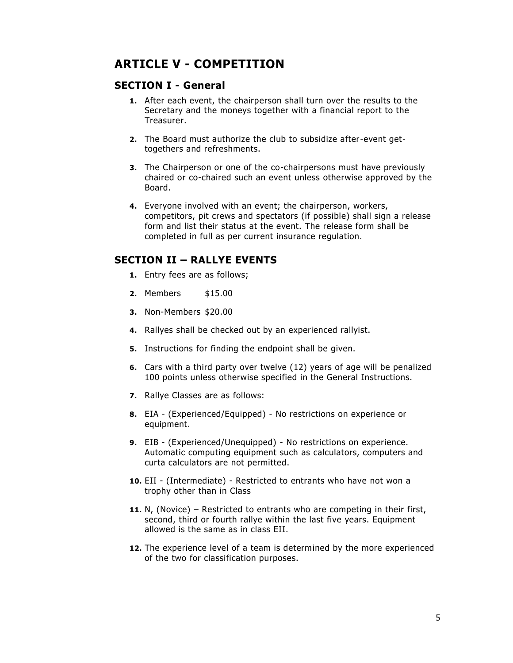## <span id="page-4-0"></span>**ARTICLE V - COMPETITION**

#### <span id="page-4-1"></span>**SECTION I - General**

- **1.** After each event, the chairperson shall turn over the results to the Secretary and the moneys together with a financial report to the Treasurer.
- **2.** The Board must authorize the club to subsidize after-event gettogethers and refreshments.
- **3.** The Chairperson or one of the co-chairpersons must have previously chaired or co-chaired such an event unless otherwise approved by the Board.
- **4.** Everyone involved with an event; the chairperson, workers, competitors, pit crews and spectators (if possible) shall sign a release form and list their status at the event. The release form shall be completed in full as per current insurance regulation.

#### <span id="page-4-2"></span>**SECTION II – RALLYE EVENTS**

- **1.** Entry fees are as follows;
- **2.** Members \$15.00
- **3.** Non-Members \$20.00
- **4.** Rallyes shall be checked out by an experienced rallyist.
- **5.** Instructions for finding the endpoint shall be given.
- **6.** Cars with a third party over twelve (12) years of age will be penalized 100 points unless otherwise specified in the General Instructions.
- **7.** Rallye Classes are as follows:
- **8.** EIA (Experienced/Equipped) No restrictions on experience or equipment.
- **9.** EIB (Experienced/Unequipped) No restrictions on experience. Automatic computing equipment such as calculators, computers and curta calculators are not permitted.
- **10.** EII (Intermediate) Restricted to entrants who have not won a trophy other than in Class
- **11.** N, (Novice) Restricted to entrants who are competing in their first, second, third or fourth rallye within the last five years. Equipment allowed is the same as in class EII.
- **12.** The experience level of a team is determined by the more experienced of the two for classification purposes.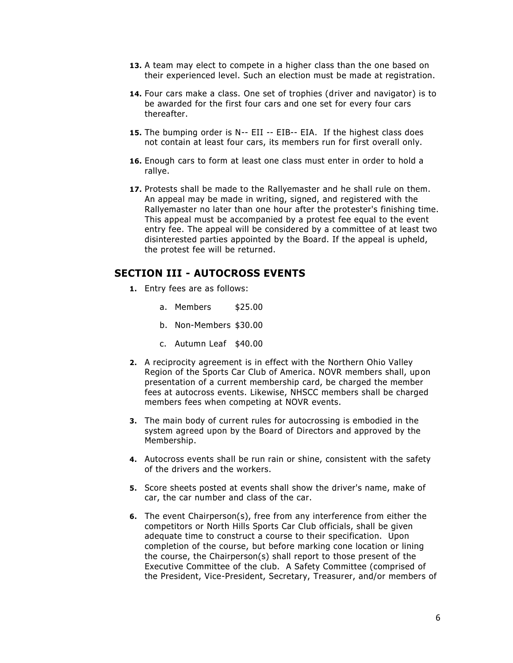- **13.** A team may elect to compete in a higher class than the one based on their experienced level. Such an election must be made at registration.
- **14.** Four cars make a class. One set of trophies (driver and navigator) is to be awarded for the first four cars and one set for every four cars thereafter.
- **15.** The bumping order is N-- EII -- EIB-- EIA. If the highest class does not contain at least four cars, its members run for first overall only.
- **16.** Enough cars to form at least one class must enter in order to hold a rallye.
- **17.** Protests shall be made to the Rallyemaster and he shall rule on them. An appeal may be made in writing, signed, and registered with the Rallyemaster no later than one hour after the protester's finishing time. This appeal must be accompanied by a protest fee equal to the event entry fee. The appeal will be considered by a committee of at least two disinterested parties appointed by the Board. If the appeal is upheld, the protest fee will be returned.

#### <span id="page-5-0"></span>**SECTION III - AUTOCROSS EVENTS**

- **1.** Entry fees are as follows:
	- a. Members \$25.00
	- b. Non-Members \$30.00
	- c. Autumn Leaf \$40.00
- **2.** A reciprocity agreement is in effect with the Northern Ohio Valley Region of the Sports Car Club of America. NOVR members shall, up on presentation of a current membership card, be charged the member fees at autocross events. Likewise, NHSCC members shall be charged members fees when competing at NOVR events.
- **3.** The main body of current rules for autocrossing is embodied in the system agreed upon by the Board of Directors and approved by the Membership.
- **4.** Autocross events shall be run rain or shine, consistent with the safety of the drivers and the workers.
- **5.** Score sheets posted at events shall show the driver's name, make of car, the car number and class of the car.
- **6.** The event Chairperson(s), free from any interference from either the competitors or North Hills Sports Car Club officials, shall be given adequate time to construct a course to their specification. Upon completion of the course, but before marking cone location or lining the course, the Chairperson(s) shall report to those present of the Executive Committee of the club. A Safety Committee (comprised of the President, Vice-President, Secretary, Treasurer, and/or members of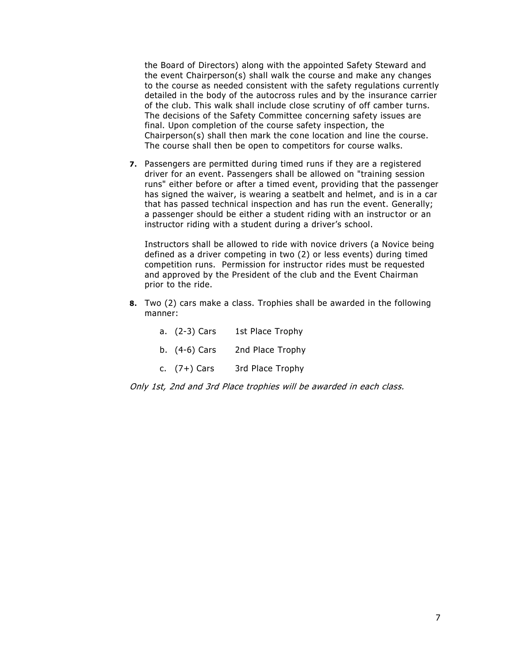the Board of Directors) along with the appointed Safety Steward and the event Chairperson(s) shall walk the course and make any changes to the course as needed consistent with the safety regulations currently detailed in the body of the autocross rules and by the insurance carrier of the club. This walk shall include close scrutiny of off camber turns. The decisions of the Safety Committee concerning safety issues are final. Upon completion of the course safety inspection, the Chairperson(s) shall then mark the cone location and line the course. The course shall then be open to competitors for course walks.

**7.** Passengers are permitted during timed runs if they are a registered driver for an event. Passengers shall be allowed on "training session runs" either before or after a timed event, providing that the passenger has signed the waiver, is wearing a seatbelt and helmet, and is in a car that has passed technical inspection and has run the event. Generally; a passenger should be either a student riding with an instructor or an instructor riding with a student during a driver's school.

Instructors shall be allowed to ride with novice drivers (a Novice being defined as a driver competing in two (2) or less events) during timed competition runs. Permission for instructor rides must be requested and approved by the President of the club and the Event Chairman prior to the ride.

**8.** Two (2) cars make a class. Trophies shall be awarded in the following manner:

| a. (2-3) Cars   | 1st Place Trophy |
|-----------------|------------------|
| b. $(4-6)$ Cars | 2nd Place Trophy |
| c. $(7+)$ Cars  | 3rd Place Trophy |

Only 1st, 2nd and 3rd Place trophies will be awarded in each class.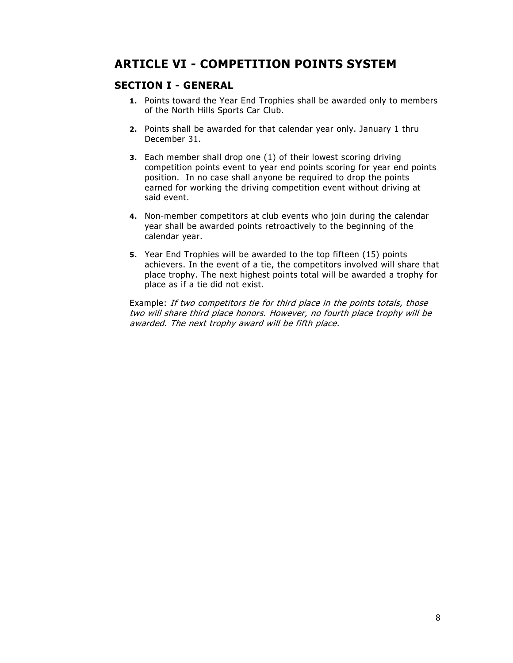## <span id="page-7-0"></span>**ARTICLE VI - COMPETITION POINTS SYSTEM**

#### <span id="page-7-1"></span>**SECTION I - GENERAL**

- **1.** Points toward the Year End Trophies shall be awarded only to members of the North Hills Sports Car Club.
- **2.** Points shall be awarded for that calendar year only. January 1 thru December 31.
- **3.** Each member shall drop one (1) of their lowest scoring driving competition points event to year end points scoring for year end points position. In no case shall anyone be required to drop the points earned for working the driving competition event without driving at said event.
- **4.** Non-member competitors at club events who join during the calendar year shall be awarded points retroactively to the beginning of the calendar year.
- **5.** Year End Trophies will be awarded to the top fifteen (15) points achievers. In the event of a tie, the competitors involved will share that place trophy. The next highest points total will be awarded a trophy for place as if a tie did not exist.

Example: If two competitors tie for third place in the points totals, those two will share third place honors. However, no fourth place trophy will be awarded. The next trophy award will be fifth place.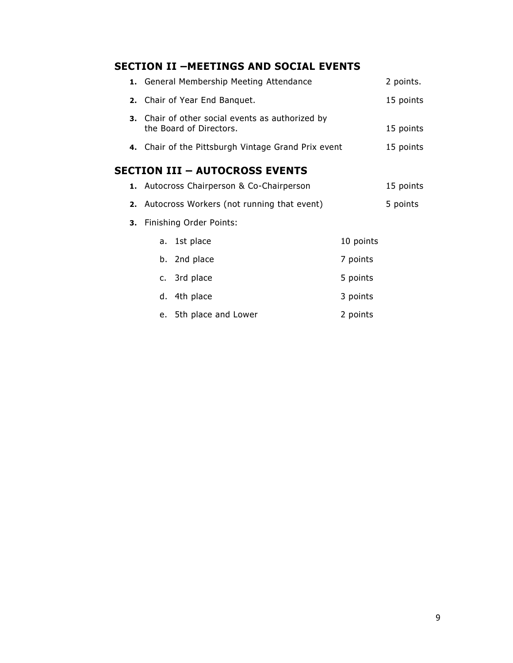## <span id="page-8-0"></span>**SECTION II –MEETINGS AND SOCIAL EVENTS**

<span id="page-8-1"></span>

|  | 1. General Membership Meeting Attendance                                    |                                |  |           |           |
|--|-----------------------------------------------------------------------------|--------------------------------|--|-----------|-----------|
|  | 2. Chair of Year End Banquet.                                               |                                |  |           |           |
|  | 3. Chair of other social events as authorized by<br>the Board of Directors. |                                |  |           |           |
|  | 4. Chair of the Pittsburgh Vintage Grand Prix event                         |                                |  |           | 15 points |
|  |                                                                             | SECTION III – AUTOCROSS EVENTS |  |           |           |
|  | 1. Autocross Chairperson & Co-Chairperson                                   |                                |  |           | 15 points |
|  | 2. Autocross Workers (not running that event)                               |                                |  | 5 points  |           |
|  | 3. Finishing Order Points:                                                  |                                |  |           |           |
|  |                                                                             | a. 1st place                   |  | 10 points |           |
|  |                                                                             | b. 2nd place                   |  | 7 points  |           |
|  |                                                                             | c. 3rd place                   |  | 5 points  |           |
|  |                                                                             | d. 4th place                   |  | 3 points  |           |
|  |                                                                             | e. 5th place and Lower         |  | 2 points  |           |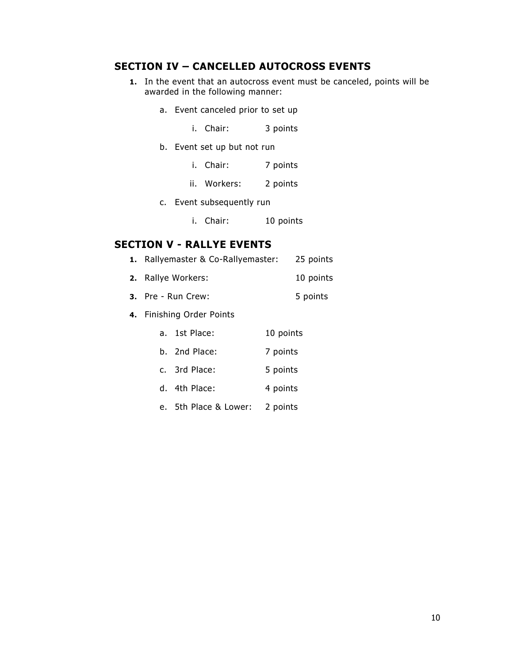#### <span id="page-9-0"></span>**SECTION IV – CANCELLED AUTOCROSS EVENTS**

- **1.** In the event that an autocross event must be canceled, points will be awarded in the following manner:
	- a. Event canceled prior to set up
		- i. Chair: 3 points
	- b. Event set up but not run
		- i. Chair: 7 points
		- ii. Workers: 2 points
	- c. Event subsequently run
		- i. Chair: 10 points

#### <span id="page-9-1"></span>**SECTION V - RALLYE EVENTS**

| 1. Rallyemaster & Co-Rallyemaster: |               |           | 25 points |  |
|------------------------------------|---------------|-----------|-----------|--|
| <b>2.</b> Rallye Workers:          |               | 10 points |           |  |
| 3. Pre - Run Crew:                 |               | 5 points  |           |  |
| 4. Finishing Order Points          |               |           |           |  |
|                                    | a. 1st Place: | 10 points |           |  |
|                                    | b. 2nd Place: | 7 points  |           |  |
|                                    | c. 3rd Place: | 5 points  |           |  |
|                                    | d. 4th Place: | 4 points  |           |  |
|                                    |               |           |           |  |

e. 5th Place & Lower: 2 points